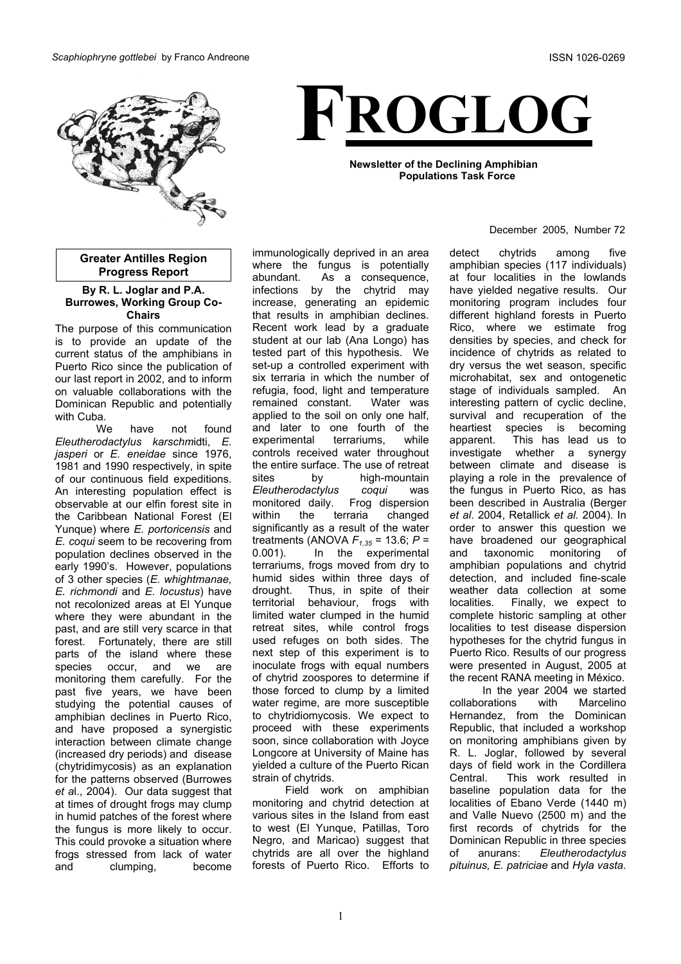

**Greater Antilles Region Progress Report**

#### **By R. L. Joglar and P.A. Burrowes, Working Group Co-Chairs**

The purpose of this communication is to provide an update of the current status of the amphibians in Puerto Rico since the publication of our last report in 2002, and to inform on valuable collaborations with the Dominican Republic and potentially with Cuba.

We have not found *Eleutherodactylus karschm*idti, *E. jasperi* or *E. eneidae* since 1976, 1981 and 1990 respectively, in spite of our continuous field expeditions. An interesting population effect is observable at our elfin forest site in the Caribbean National Forest (El Yunque) where *E. portoricensis* and *E. coqui* seem to be recovering from population declines observed in the early 1990's. However, populations of 3 other species (*E. whightmanae, E. richmondi* and *E. locustus*) have not recolonized areas at El Yunque where they were abundant in the past, and are still very scarce in that forest. Fortunately, there are still parts of the island where these species occur, and we are monitoring them carefully. For the past five years, we have been studying the potential causes of amphibian declines in Puerto Rico, and have proposed a synergistic interaction between climate change (increased dry periods) and disease (chytridimycosis) as an explanation for the patterns observed (Burrowes *et a*l., 2004). Our data suggest that at times of drought frogs may clump in humid patches of the forest where the fungus is more likely to occur. This could provoke a situation where frogs stressed from lack of water and clumping, become

immunologically deprived in an area where the fungus is potentially abundant. As a consequence, infections by the chytrid may increase, generating an epidemic that results in amphibian declines. Recent work lead by a graduate student at our lab (Ana Longo) has tested part of this hypothesis. We set-up a controlled experiment with six terraria in which the number of refugia, food, light and temperature remained constant. Water was applied to the soil on only one half, and later to one fourth of the experimental terrariums, while controls received water throughout the entire surface. The use of retreat sites by high-mountain *Eleutherodactylus coqui* was monitored daily. Frog dispersion within the terraria changed significantly as a result of the water treatments (ANOVA *F1,35* = 13.6; *P* = 0.001). In the experimental terrariums, frogs moved from dry to humid sides within three days of drought. Thus, in spite of their territorial behaviour, frogs with limited water clumped in the humid retreat sites, while control frogs used refuges on both sides. The next step of this experiment is to inoculate frogs with equal numbers of chytrid zoospores to determine if those forced to clump by a limited water regime, are more susceptible to chytridiomycosis. We expect to proceed with these experiments soon, since collaboration with Joyce Longcore at University of Maine has yielded a culture of the Puerto Rican strain of chytrids.

Field work on amphibian monitoring and chytrid detection at various sites in the Island from east to west (El Yunque, Patillas, Toro Negro, and Maricao) suggest that chytrids are all over the highland forests of Puerto Rico. Efforts to

**FROGLOG**

**Newsletter of the Declining Amphibian Populations Task Force**

#### December 2005, Number 72

detect chytrids among five amphibian species (117 individuals) at four localities in the lowlands have yielded negative results. Our monitoring program includes four different highland forests in Puerto Rico, where we estimate frog densities by species, and check for incidence of chytrids as related to dry versus the wet season, specific microhabitat, sex and ontogenetic stage of individuals sampled. An interesting pattern of cyclic decline, survival and recuperation of the heartiest species is becoming apparent. This has lead us to investigate whether a synergy between climate and disease is playing a role in the prevalence of the fungus in Puerto Rico, as has been described in Australia (Berger *et al*. 2004, Retallick *et al.* 2004). In order to answer this question we have broadened our geographical and taxonomic monitoring of amphibian populations and chytrid detection, and included fine-scale weather data collection at some localities. Finally, we expect to complete historic sampling at other localities to test disease dispersion hypotheses for the chytrid fungus in Puerto Rico. Results of our progress were presented in August, 2005 at the recent RANA meeting in México.

In the year 2004 we started collaborations with Marcelino Hernandez, from the Dominican Republic, that included a workshop on monitoring amphibians given by R. L. Joglar, followed by several days of field work in the Cordillera Central. This work resulted in baseline population data for the localities of Ebano Verde (1440 m) and Valle Nuevo (2500 m) and the first records of chytrids for the Dominican Republic in three species of anurans: *Eleutherodactylus pituinus, E. patriciae* and *Hyla vasta*.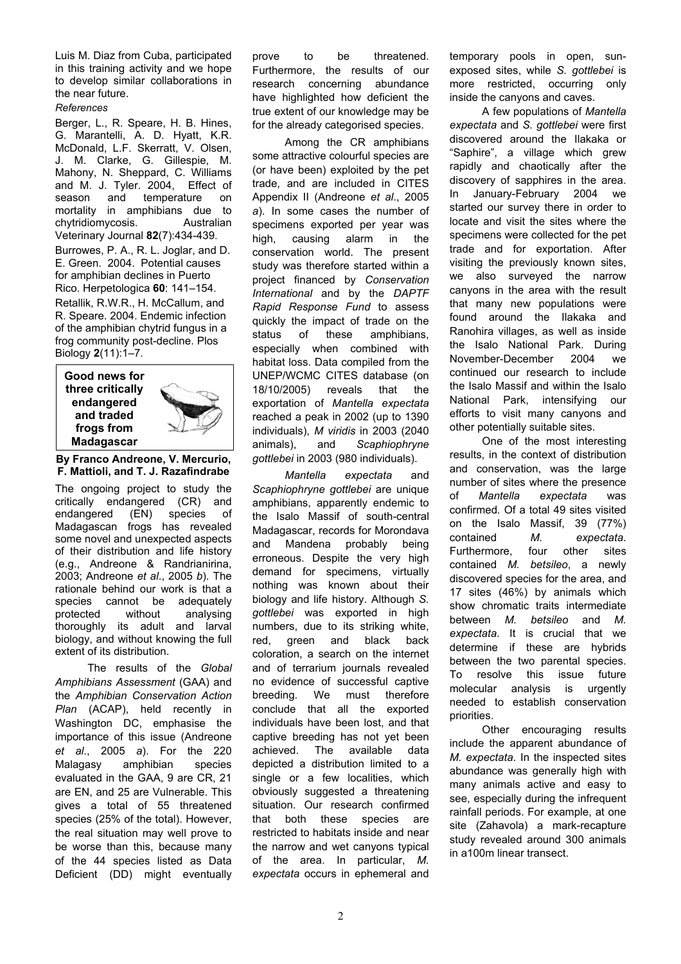Luis M. Diaz from Cuba, participated in this training activity and we hope to develop similar collaborations in the near future.

## *References*

Berger, L., R. Speare, H. B. Hines, G. Marantelli, A. D. Hyatt, K.R. McDonald, L.F. Skerratt, V. Olsen, J. M. Clarke, G. Gillespie, M. Mahony, N. Sheppard, C. Williams and M. J. Tyler. 2004, Effect of season and temperature on mortality in amphibians due to chytridiomycosis. Australian Veterinary Journal **82**(7):434-439. Burrowes, P. A., R. L. Joglar, and D.

E. Green. 2004. Potential causes for amphibian declines in Puerto Rico. Herpetologica **60**: 141–154.

Retallik, R.W.R., H. McCallum, and R. Speare. 2004. Endemic infection of the amphibian chytrid fungus in a frog community post-decline. Plos Biology **2**(11):1–7.

**Good news for three critically endangered and traded frogs from Madagascar**



**By Franco Andreone, V. Mercurio, F. Mattioli, and T. J. Razafindrabe** 

The ongoing project to study the critically endangered (CR) and endangered (EN) species of Madagascan frogs has revealed some novel and unexpected aspects of their distribution and life history (e.g., Andreone & Randrianirina, 2003; Andreone *et al*., 2005 *b*). The rationale behind our work is that a species cannot be adequately protected without analysing thoroughly its adult and larval biology, and without knowing the full extent of its distribution.

The results of the *Global Amphibians Assessment* (GAA) and the *Amphibian Conservation Action Plan* (ACAP), held recently in Washington DC, emphasise the importance of this issue (Andreone *et al*., 2005 *a*). For the 220 Malagasy amphibian species evaluated in the GAA, 9 are CR, 21 are EN, and 25 are Vulnerable. This gives a total of 55 threatened species (25% of the total). However, the real situation may well prove to be worse than this, because many of the 44 species listed as Data Deficient (DD) might eventually prove to be threatened. Furthermore, the results of our research concerning abundance have highlighted how deficient the true extent of our knowledge may be for the already categorised species.

Among the CR amphibians some attractive colourful species are (or have been) exploited by the pet trade, and are included in CITES Appendix II (Andreone *et al*., 2005 *a*). In some cases the number of specimens exported per year was high, causing alarm in the conservation world. The present study was therefore started within a project financed by *Conservation International* and by the *DAPTF Rapid Response Fund* to assess quickly the impact of trade on the status of these amphibians, especially when combined with habitat loss. Data compiled from the UNEP/WCMC CITES database (on 18/10/2005) reveals that the exportation of *Mantella expectata* reached a peak in 2002 (up to 1390 individuals), *M viridis* in 2003 (2040 animals), and *Scaphiophryne gottlebei* in 2003 (980 individuals).

*Mantella expectata* and *Scaphiophryne gottlebei* are unique amphibians, apparently endemic to the Isalo Massif of south-central Madagascar, records for Morondava and Mandena probably being erroneous. Despite the very high demand for specimens, virtually nothing was known about their biology and life history. Although *S. gottlebei* was exported in high numbers, due to its striking white, red, green and black back coloration, a search on the internet and of terrarium journals revealed no evidence of successful captive breeding*.* We must therefore conclude that all the exported individuals have been lost, and that captive breeding has not yet been achieved. The available data depicted a distribution limited to a single or a few localities, which obviously suggested a threatening situation. Our research confirmed that both these species are restricted to habitats inside and near the narrow and wet canyons typical of the area. In particular, *M. expectata* occurs in ephemeral and

temporary pools in open, sunexposed sites, while *S. gottlebei* is more restricted, occurring only inside the canyons and caves.

A few populations of *Mantella expectata* and *S. gottlebei* were first discovered around the Ilakaka or "Saphire", a village which grew rapidly and chaotically after the discovery of sapphires in the area. In January-February 2004 we started our survey there in order to locate and visit the sites where the specimens were collected for the pet trade and for exportation. After visiting the previously known sites, we also surveyed the narrow canyons in the area with the result that many new populations were found around the Ilakaka and Ranohira villages, as well as inside the Isalo National Park. During November-December 2004 we continued our research to include the Isalo Massif and within the Isalo National Park, intensifying our efforts to visit many canyons and other potentially suitable sites.

One of the most interesting results, in the context of distribution and conservation, was the large number of sites where the presence of *Mantella expectata* was confirmed*.* Of a total 49 sites visited on the Isalo Massif, 39 (77%) contained *M. expectata*. Furthermore, four other sites contained *M. betsileo*, a newly discovered species for the area, and 17 sites (46%) by animals which show chromatic traits intermediate between *M. betsileo* and *M. expectata*. It is crucial that we determine if these are hybrids between the two parental species. To resolve this issue future molecular analysis is urgently needed to establish conservation priorities.

Other encouraging results include the apparent abundance of *M. expectata*. In the inspected sites abundance was generally high with many animals active and easy to see, especially during the infrequent rainfall periods. For example, at one site (Zahavola) a mark-recapture study revealed around 300 animals in a100m linear transect.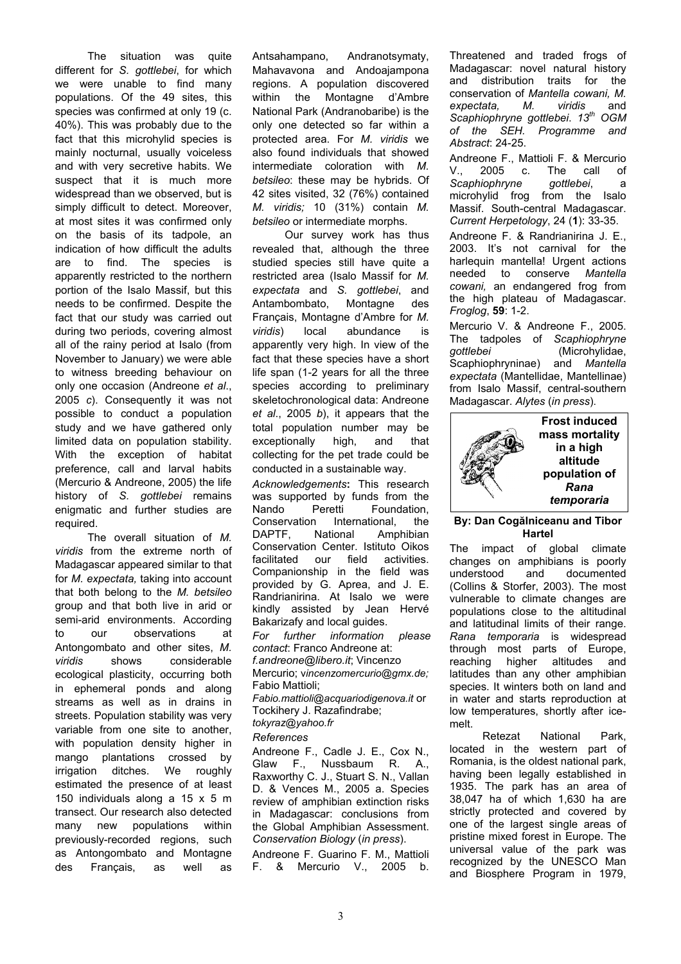The situation was quite different for *S. gottlebei*, for which we were unable to find many populations. Of the 49 sites, this species was confirmed at only 19 (c. 40%). This was probably due to the fact that this microhylid species is mainly nocturnal, usually voiceless and with very secretive habits. We suspect that it is much more widespread than we observed, but is simply difficult to detect. Moreover, at most sites it was confirmed only on the basis of its tadpole, an indication of how difficult the adults are to find. The species is apparently restricted to the northern portion of the Isalo Massif, but this needs to be confirmed. Despite the fact that our study was carried out during two periods, covering almost all of the rainy period at Isalo (from November to January) we were able to witness breeding behaviour on only one occasion (Andreone *et al*., 2005 *c*). Consequently it was not possible to conduct a population study and we have gathered only limited data on population stability. With the exception of habitat preference, call and larval habits (Mercurio & Andreone, 2005) the life history of *S. gottlebei* remains enigmatic and further studies are required.

The overall situation of *M. viridis* from the extreme north of Madagascar appeared similar to that for *M. expectata,* taking into account that both belong to the *M. betsileo* group and that both live in arid or semi-arid environments. According to our observations at Antongombato and other sites, *M. viridis* shows considerable ecological plasticity, occurring both in ephemeral ponds and along streams as well as in drains in streets. Population stability was very variable from one site to another, with population density higher in mango plantations crossed by irrigation ditches. We roughly estimated the presence of at least 150 individuals along a 15 x 5 m transect. Our research also detected many new populations within previously-recorded regions, such as Antongombato and Montagne des Français, as well as

Antsahampano, Andranotsymaty, Mahavavona and Andoajampona regions. A population discovered within the Montagne d'Ambre National Park (Andranobaribe) is the only one detected so far within a protected area. For *M. viridis* we also found individuals that showed intermediate coloration with *M. betsileo*: these may be hybrids. Of 42 sites visited, 32 (76%) contained *M. viridis;* 10 (31%) contain *M. betsileo* or intermediate morphs.

Our survey work has thus revealed that, although the three studied species still have quite a restricted area (Isalo Massif for *M. expectata* and *S. gottlebei*, and Antambombato, Montagne des Français, Montagne d'Ambre for *M. viridis*) local abundance is apparently very high. In view of the fact that these species have a short life span (1-2 years for all the three species according to preliminary skeletochronological data: Andreone *et al*., 2005 *b*), it appears that the total population number may be exceptionally high, and that collecting for the pet trade could be conducted in a sustainable way.

*Acknowledgements***:** This research was supported by funds from the Nando Peretti Foundation. Conservation International, the DAPTF, National Amphibian Conservation Center. Istituto Oikos facilitated our field activities. Companionship in the field was provided by G. Aprea, and J. E. Randrianirina. At Isalo we were kindly assisted by Jean Hervé Bakarizafy and local guides.

*For further information please contact*: Franco Andreone at: *f.andreone@libero.it*; Vincenzo

Mercurio; v*incenzomercurio@gmx.de;* Fabio Mattioli;

*Fabio.mattioli@acquariodigenova.it* or Tockihery J. Razafindrabe; *tokyraz@yahoo.fr* 

## *References*

Andreone F., Cadle J. E., Cox N., Glaw F., Nussbaum R. A., Raxworthy C. J., Stuart S. N., Vallan D. & Vences M., 2005 a. Species review of amphibian extinction risks in Madagascar: conclusions from the Global Amphibian Assessment. *Conservation Biology* (*in press*).

Andreone F. Guarino F. M., Mattioli F. & Mercurio V., 2005 b.

Threatened and traded frogs of Madagascar: novel natural history and distribution traits for the conservation of *Mantella cowani, M. expectata, M. viridis* and *Scaphiophryne gottlebei*. *13th OGM of the SEH. Programme and Abstract*: 24-25.

Andreone F., Mattioli F. & Mercurio V., 2005 c. The call of *Scaphiophryne gottlebei*, a microhylid frog from the Isalo Massif. South-central Madagascar. *Current Herpetology*, 24 (**1**): 33-35.

Andreone F. & Randrianirina J. E., 2003. It's not carnival for the harlequin mantella! Urgent actions needed to conserve *Mantella cowani,* an endangered frog from the high plateau of Madagascar. *Froglog*, **59**: 1-2.

Mercurio V. & Andreone F., 2005. The tadpoles of *Scaphiophryne gottlebei* (Microhylidae, Scaphiophryninae) and *Mantella expectata* (Mantellidae, Mantellinae) from Isalo Massif, central-southern Madagascar. *Alytes* (*in press*).



### **By: Dan Cogălniceanu and Tibor Hartel**

The impact of global climate changes on amphibians is poorly understood and documented (Collins & Storfer, 2003). The most vulnerable to climate changes are populations close to the altitudinal and latitudinal limits of their range. *Rana temporaria* is widespread through most parts of Europe, reaching higher altitudes and latitudes than any other amphibian species. It winters both on land and in water and starts reproduction at low temperatures, shortly after icemelt.

Retezat National Park, located in the western part of Romania, is the oldest national park, having been legally established in 1935. The park has an area of 38,047 ha of which 1,630 ha are strictly protected and covered by one of the largest single areas of pristine mixed forest in Europe. The universal value of the park was recognized by the UNESCO Man and Biosphere Program in 1979,